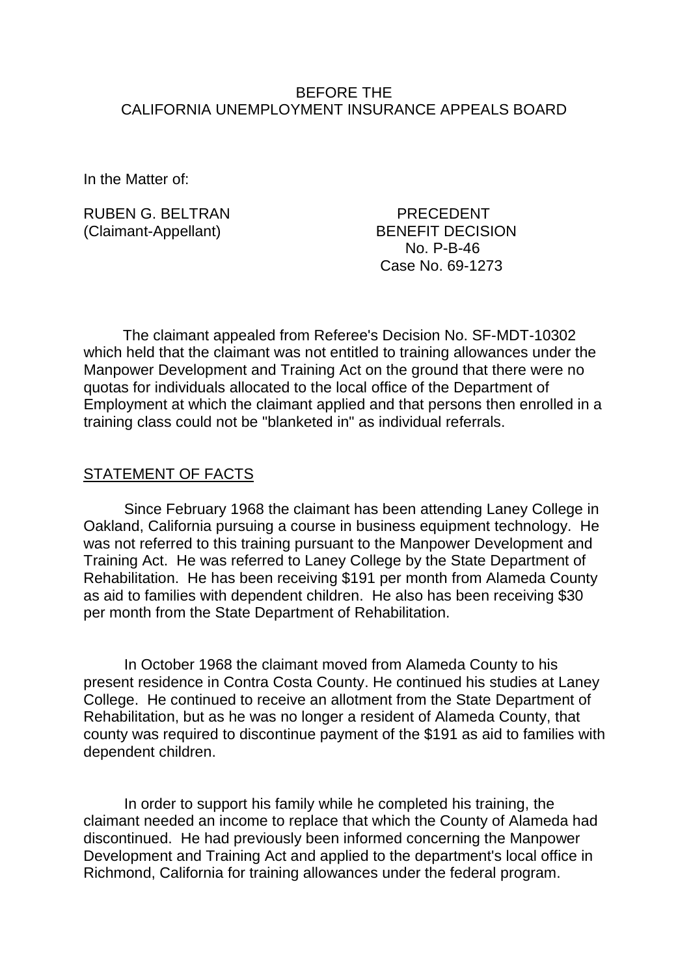### BEFORE THE CALIFORNIA UNEMPLOYMENT INSURANCE APPEALS BOARD

In the Matter of:

RUBEN G. BELTRAN PRECEDENT (Claimant-Appellant) BENEFIT DECISION

 No. P-B-46 Case No. 69-1273

The claimant appealed from Referee's Decision No. SF-MDT-10302 which held that the claimant was not entitled to training allowances under the Manpower Development and Training Act on the ground that there were no quotas for individuals allocated to the local office of the Department of Employment at which the claimant applied and that persons then enrolled in a training class could not be "blanketed in" as individual referrals.

### STATEMENT OF FACTS

Since February 1968 the claimant has been attending Laney College in Oakland, California pursuing a course in business equipment technology. He was not referred to this training pursuant to the Manpower Development and Training Act. He was referred to Laney College by the State Department of Rehabilitation. He has been receiving \$191 per month from Alameda County as aid to families with dependent children. He also has been receiving \$30 per month from the State Department of Rehabilitation.

In October 1968 the claimant moved from Alameda County to his present residence in Contra Costa County. He continued his studies at Laney College. He continued to receive an allotment from the State Department of Rehabilitation, but as he was no longer a resident of Alameda County, that county was required to discontinue payment of the \$191 as aid to families with dependent children.

In order to support his family while he completed his training, the claimant needed an income to replace that which the County of Alameda had discontinued. He had previously been informed concerning the Manpower Development and Training Act and applied to the department's local office in Richmond, California for training allowances under the federal program.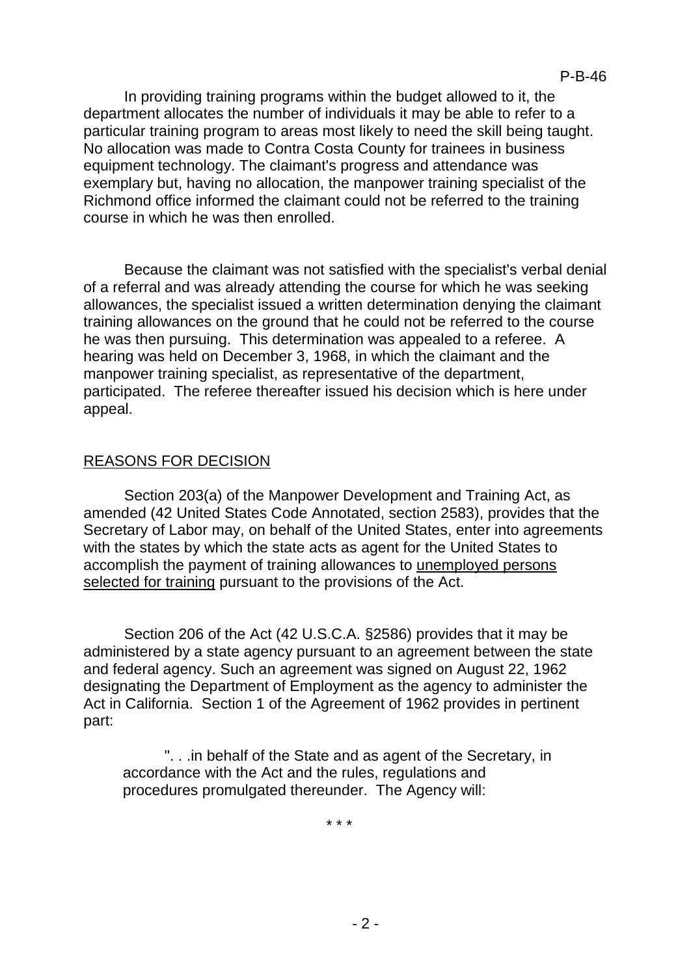In providing training programs within the budget allowed to it, the department allocates the number of individuals it may be able to refer to a particular training program to areas most likely to need the skill being taught. No allocation was made to Contra Costa County for trainees in business equipment technology. The claimant's progress and attendance was exemplary but, having no allocation, the manpower training specialist of the Richmond office informed the claimant could not be referred to the training course in which he was then enrolled.

Because the claimant was not satisfied with the specialist's verbal denial of a referral and was already attending the course for which he was seeking allowances, the specialist issued a written determination denying the claimant training allowances on the ground that he could not be referred to the course he was then pursuing. This determination was appealed to a referee. A hearing was held on December 3, 1968, in which the claimant and the manpower training specialist, as representative of the department, participated. The referee thereafter issued his decision which is here under appeal.

# REASONS FOR DECISION

Section 203(a) of the Manpower Development and Training Act, as amended (42 United States Code Annotated, section 2583), provides that the Secretary of Labor may, on behalf of the United States, enter into agreements with the states by which the state acts as agent for the United States to accomplish the payment of training allowances to unemployed persons selected for training pursuant to the provisions of the Act.

Section 206 of the Act (42 U.S.C.A. §2586) provides that it may be administered by a state agency pursuant to an agreement between the state and federal agency. Such an agreement was signed on August 22, 1962 designating the Department of Employment as the agency to administer the Act in California. Section 1 of the Agreement of 1962 provides in pertinent part:

". . .in behalf of the State and as agent of the Secretary, in accordance with the Act and the rules, regulations and procedures promulgated thereunder. The Agency will:

\* \* \*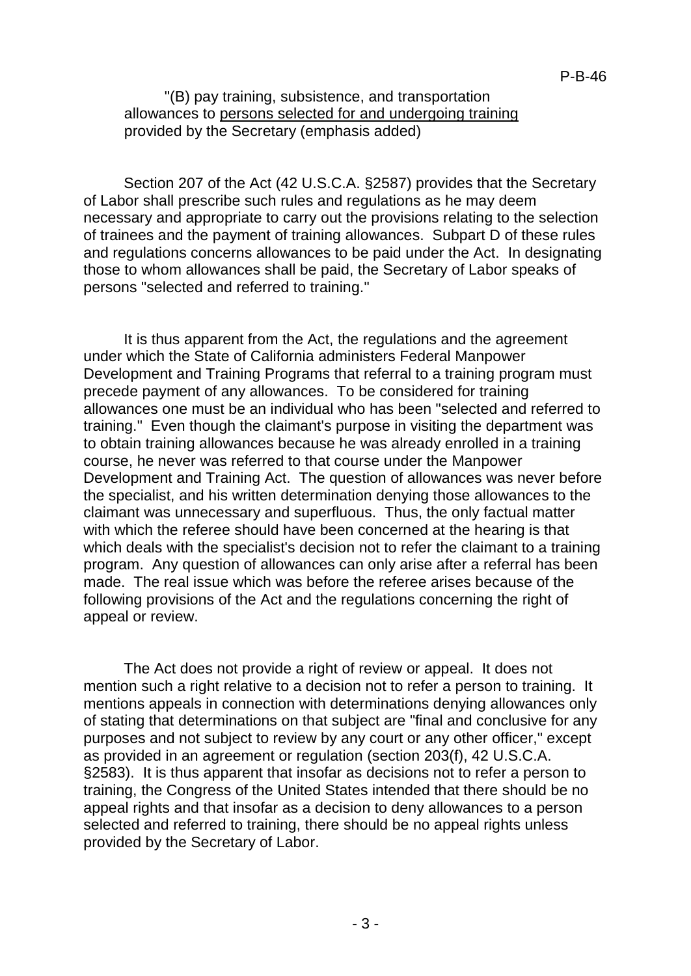"(B) pay training, subsistence, and transportation allowances to persons selected for and undergoing training provided by the Secretary (emphasis added)

Section 207 of the Act (42 U.S.C.A. §2587) provides that the Secretary of Labor shall prescribe such rules and regulations as he may deem necessary and appropriate to carry out the provisions relating to the selection of trainees and the payment of training allowances. Subpart D of these rules and regulations concerns allowances to be paid under the Act. In designating those to whom allowances shall be paid, the Secretary of Labor speaks of persons "selected and referred to training."

It is thus apparent from the Act, the regulations and the agreement under which the State of California administers Federal Manpower Development and Training Programs that referral to a training program must precede payment of any allowances. To be considered for training allowances one must be an individual who has been "selected and referred to training." Even though the claimant's purpose in visiting the department was to obtain training allowances because he was already enrolled in a training course, he never was referred to that course under the Manpower Development and Training Act. The question of allowances was never before the specialist, and his written determination denying those allowances to the claimant was unnecessary and superfluous. Thus, the only factual matter with which the referee should have been concerned at the hearing is that which deals with the specialist's decision not to refer the claimant to a training program. Any question of allowances can only arise after a referral has been made. The real issue which was before the referee arises because of the following provisions of the Act and the regulations concerning the right of appeal or review.

The Act does not provide a right of review or appeal. It does not mention such a right relative to a decision not to refer a person to training. It mentions appeals in connection with determinations denying allowances only of stating that determinations on that subject are "final and conclusive for any purposes and not subject to review by any court or any other officer," except as provided in an agreement or regulation (section 203(f), 42 U.S.C.A. §2583). It is thus apparent that insofar as decisions not to refer a person to training, the Congress of the United States intended that there should be no appeal rights and that insofar as a decision to deny allowances to a person selected and referred to training, there should be no appeal rights unless provided by the Secretary of Labor.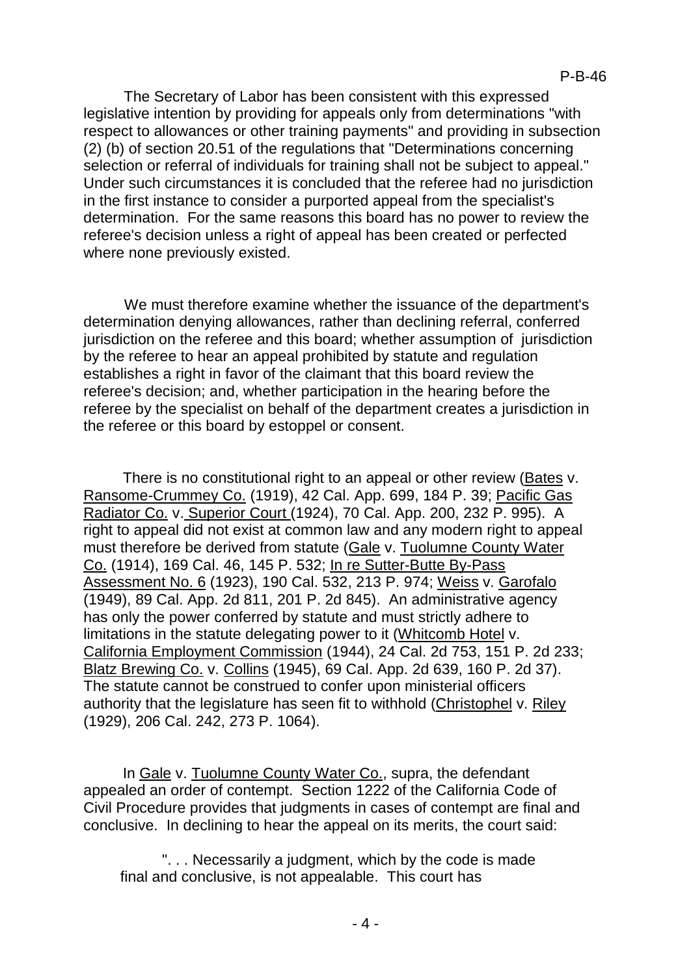The Secretary of Labor has been consistent with this expressed legislative intention by providing for appeals only from determinations "with respect to allowances or other training payments" and providing in subsection (2) (b) of section 20.51 of the regulations that "Determinations concerning selection or referral of individuals for training shall not be subject to appeal." Under such circumstances it is concluded that the referee had no jurisdiction in the first instance to consider a purported appeal from the specialist's determination. For the same reasons this board has no power to review the referee's decision unless a right of appeal has been created or perfected where none previously existed.

We must therefore examine whether the issuance of the department's determination denying allowances, rather than declining referral, conferred jurisdiction on the referee and this board; whether assumption of jurisdiction by the referee to hear an appeal prohibited by statute and regulation establishes a right in favor of the claimant that this board review the referee's decision; and, whether participation in the hearing before the referee by the specialist on behalf of the department creates a jurisdiction in the referee or this board by estoppel or consent.

There is no constitutional right to an appeal or other review (Bates v. Ransome-Crummey Co. (1919), 42 Cal. App. 699, 184 P. 39; Pacific Gas Radiator Co. v. Superior Court (1924), 70 Cal. App. 200, 232 P. 995). A right to appeal did not exist at common law and any modern right to appeal must therefore be derived from statute (Gale v. Tuolumne County Water Co. (1914), 169 Cal. 46, 145 P. 532; In re Sutter-Butte By-Pass Assessment No. 6 (1923), 190 Cal. 532, 213 P. 974; Weiss v. Garofalo (1949), 89 Cal. App. 2d 811, 201 P. 2d 845). An administrative agency has only the power conferred by statute and must strictly adhere to limitations in the statute delegating power to it (Whitcomb Hotel v. California Employment Commission (1944), 24 Cal. 2d 753, 151 P. 2d 233; Blatz Brewing Co. v. Collins (1945), 69 Cal. App. 2d 639, 160 P. 2d 37). The statute cannot be construed to confer upon ministerial officers authority that the legislature has seen fit to withhold (Christophel v. Riley (1929), 206 Cal. 242, 273 P. 1064).

In Gale v. Tuolumne County Water Co., supra, the defendant appealed an order of contempt. Section 1222 of the California Code of Civil Procedure provides that judgments in cases of contempt are final and conclusive. In declining to hear the appeal on its merits, the court said:

". . . Necessarily a judgment, which by the code is made final and conclusive, is not appealable. This court has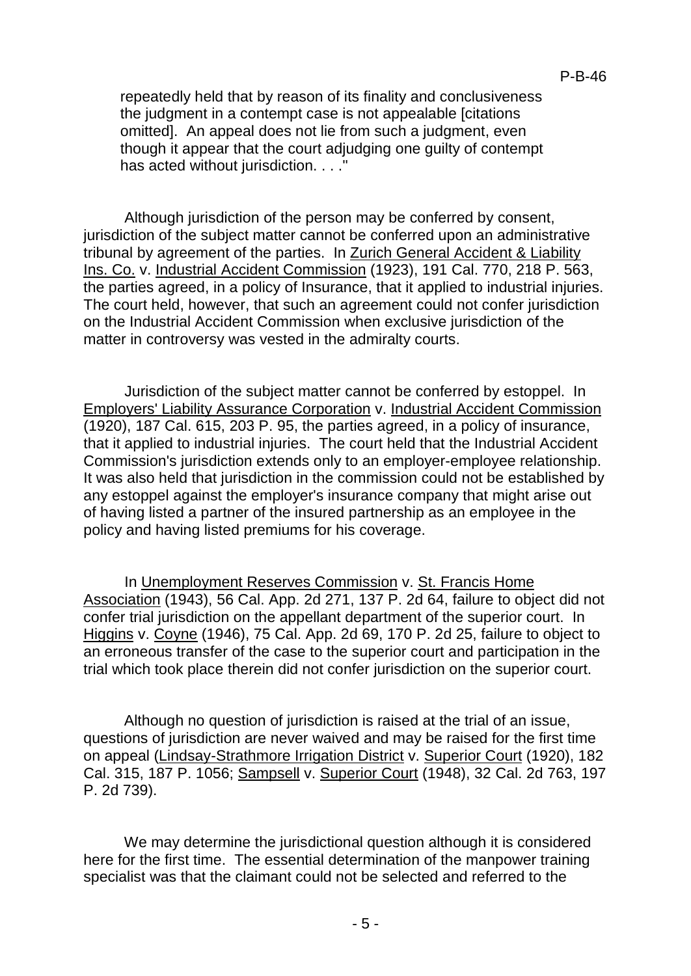repeatedly held that by reason of its finality and conclusiveness the judgment in a contempt case is not appealable [citations omitted]. An appeal does not lie from such a judgment, even though it appear that the court adjudging one guilty of contempt has acted without jurisdiction. . . ."

Although jurisdiction of the person may be conferred by consent, jurisdiction of the subject matter cannot be conferred upon an administrative tribunal by agreement of the parties. In Zurich General Accident & Liability Ins. Co. v. Industrial Accident Commission (1923), 191 Cal. 770, 218 P. 563, the parties agreed, in a policy of Insurance, that it applied to industrial injuries. The court held, however, that such an agreement could not confer jurisdiction on the Industrial Accident Commission when exclusive jurisdiction of the matter in controversy was vested in the admiralty courts.

Jurisdiction of the subject matter cannot be conferred by estoppel. In Employers' Liability Assurance Corporation v. Industrial Accident Commission (1920), 187 Cal. 615, 203 P. 95, the parties agreed, in a policy of insurance, that it applied to industrial injuries. The court held that the Industrial Accident Commission's jurisdiction extends only to an employer-employee relationship. It was also held that jurisdiction in the commission could not be established by any estoppel against the employer's insurance company that might arise out of having listed a partner of the insured partnership as an employee in the policy and having listed premiums for his coverage.

In Unemployment Reserves Commission v. St. Francis Home Association (1943), 56 Cal. App. 2d 271, 137 P. 2d 64, failure to object did not confer trial jurisdiction on the appellant department of the superior court. In Higgins v. Coyne (1946), 75 Cal. App. 2d 69, 170 P. 2d 25, failure to object to an erroneous transfer of the case to the superior court and participation in the trial which took place therein did not confer jurisdiction on the superior court.

Although no question of jurisdiction is raised at the trial of an issue, questions of jurisdiction are never waived and may be raised for the first time on appeal (Lindsay-Strathmore Irrigation District v. Superior Court (1920), 182 Cal. 315, 187 P. 1056; Sampsell v. Superior Court (1948), 32 Cal. 2d 763, 197 P. 2d 739).

We may determine the jurisdictional question although it is considered here for the first time. The essential determination of the manpower training specialist was that the claimant could not be selected and referred to the